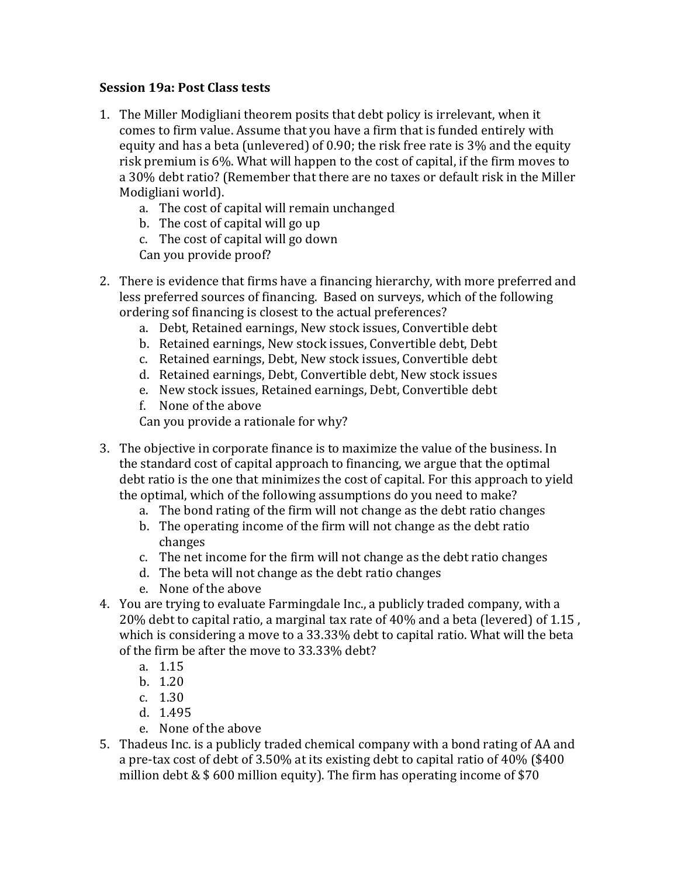## **Session 19a: Post Class tests**

- 1. The Miller Modigliani theorem posits that debt policy is irrelevant, when it comes to firm value. Assume that you have a firm that is funded entirely with equity and has a beta (unlevered) of 0.90; the risk free rate is 3% and the equity risk premium is  $6\%$ . What will happen to the cost of capital, if the firm moves to a 30% debt ratio? (Remember that there are no taxes or default risk in the Miller Modigliani world).
	- a. The cost of capital will remain unchanged
	- b. The cost of capital will go up
	- c. The cost of capital will go down
	- Can you provide proof?
- 2. There is evidence that firms have a financing hierarchy, with more preferred and less preferred sources of financing. Based on surveys, which of the following ordering sof financing is closest to the actual preferences?
	- a. Debt, Retained earnings, New stock issues, Convertible debt
	- b. Retained earnings, New stock issues, Convertible debt, Debt
	- c. Retained earnings, Debt, New stock issues, Convertible debt
	- d. Retained earnings, Debt, Convertible debt, New stock issues
	- e. New stock issues, Retained earnings, Debt, Convertible debt
	- f. None of the above

Can you provide a rationale for why?

- 3. The objective in corporate finance is to maximize the value of the business. In the standard cost of capital approach to financing, we argue that the optimal debt ratio is the one that minimizes the cost of capital. For this approach to yield the optimal, which of the following assumptions do you need to make?
	- a. The bond rating of the firm will not change as the debt ratio changes
	- b. The operating income of the firm will not change as the debt ratio changes
	- c. The net income for the firm will not change as the debt ratio changes
	- d. The beta will not change as the debt ratio changes
	- e. None of the above
- 4. You are trying to evaluate Farmingdale Inc., a publicly traded company, with a 20% debt to capital ratio, a marginal tax rate of 40% and a beta (levered) of  $1.15$ . which is considering a move to a  $33.33\%$  debt to capital ratio. What will the beta of the firm be after the move to 33.33% debt?
	- a. 1.15
	- b. 1.20
	- c. 1.30
	- d. 1.495
	- e. None of the above
- 5. Thadeus Inc. is a publicly traded chemical company with a bond rating of AA and a pre-tax cost of debt of 3.50% at its existing debt to capital ratio of  $40\%$  (\$400) million debt  $&$  \$ 600 million equity). The firm has operating income of \$70